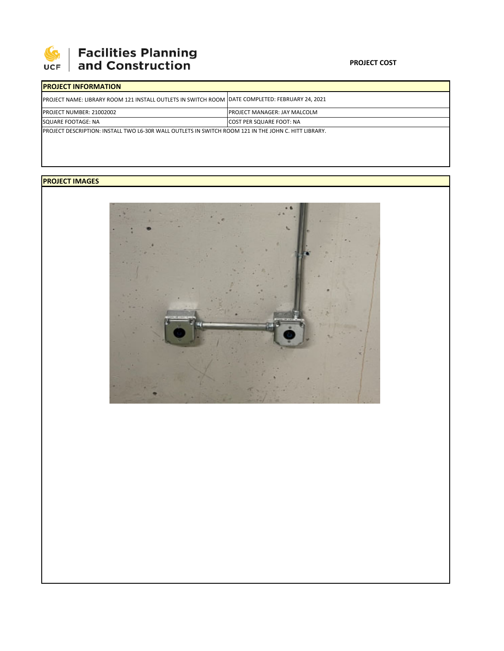

## **SEPTE AND Facilities Planning**<br>UCF and Construction

## **PROJECT COST**

| <b>IPROJECT INFORMATION</b>                                                                                  |                                      |  |  |  |
|--------------------------------------------------------------------------------------------------------------|--------------------------------------|--|--|--|
| PROJECT NAME: LIBRARY ROOM 121 INSTALL OUTLETS IN SWITCH ROOM DATE COMPLETED: FEBRUARY 24, 2021              |                                      |  |  |  |
| <b>PROJECT NUMBER: 21002002</b>                                                                              | <b>IPROJECT MANAGER: JAY MALCOLM</b> |  |  |  |
| SQUARE FOOTAGE: NA                                                                                           | <b>COST PER SQUARE FOOT: NA</b>      |  |  |  |
| <b>IPROJECT DESCRIPTION: INSTALL TWO L6-30R WALL OUTLETS IN SWITCH ROOM 121 IN THE JOHN C. HITT LIBRARY.</b> |                                      |  |  |  |

## **PROJECT IMAGES**